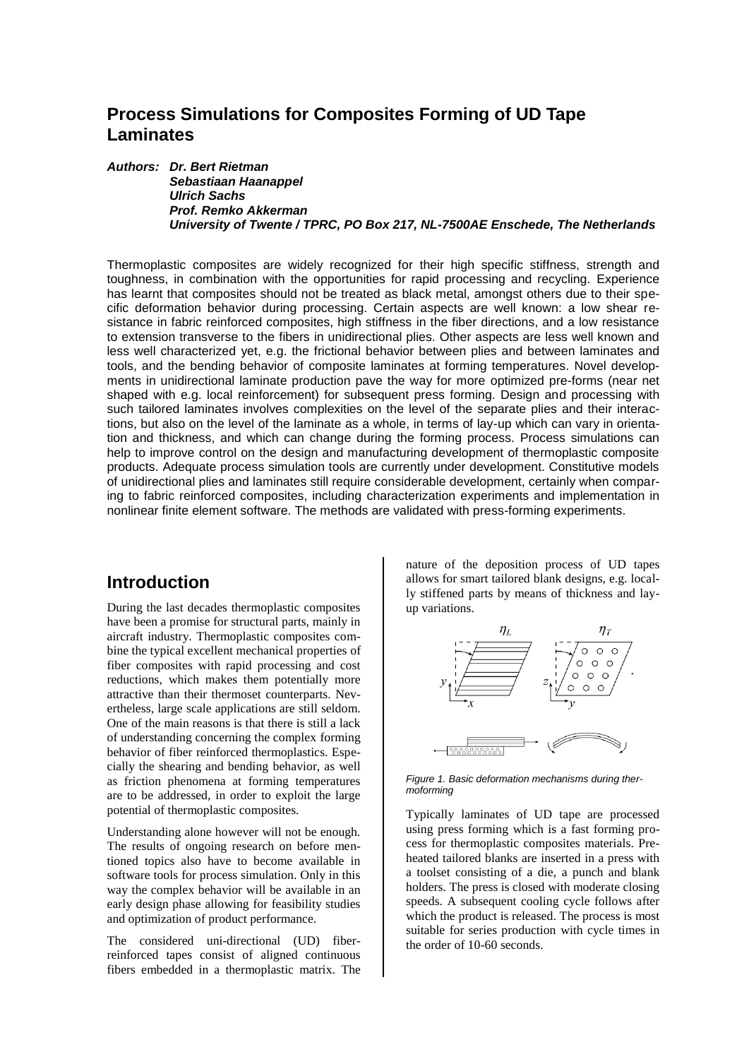## **Process Simulations for Composites Forming of UD Tape Laminates**

*Authors: Dr. Bert Rietman Sebastiaan Haanappel Ulrich Sachs Prof. Remko Akkerman University of Twente / TPRC, PO Box 217, NL-7500AE Enschede, The Netherlands*

Thermoplastic composites are widely recognized for their high specific stiffness, strength and toughness, in combination with the opportunities for rapid processing and recycling. Experience has learnt that composites should not be treated as black metal, amongst others due to their specific deformation behavior during processing. Certain aspects are well known: a low shear resistance in fabric reinforced composites, high stiffness in the fiber directions, and a low resistance to extension transverse to the fibers in unidirectional plies. Other aspects are less well known and less well characterized yet, e.g. the frictional behavior between plies and between laminates and tools, and the bending behavior of composite laminates at forming temperatures. Novel developments in unidirectional laminate production pave the way for more optimized pre-forms (near net shaped with e.g. local reinforcement) for subsequent press forming. Design and processing with such tailored laminates involves complexities on the level of the separate plies and their interactions, but also on the level of the laminate as a whole, in terms of lay-up which can vary in orientation and thickness, and which can change during the forming process. Process simulations can help to improve control on the design and manufacturing development of thermoplastic composite products. Adequate process simulation tools are currently under development. Constitutive models of unidirectional plies and laminates still require considerable development, certainly when comparing to fabric reinforced composites, including characterization experiments and implementation in nonlinear finite element software. The methods are validated with press-forming experiments.

#### **Introduction**

During the last decades thermoplastic composites have been a promise for structural parts, mainly in aircraft industry. Thermoplastic composites combine the typical excellent mechanical properties of fiber composites with rapid processing and cost reductions, which makes them potentially more attractive than their thermoset counterparts. Nevertheless, large scale applications are still seldom. One of the main reasons is that there is still a lack of understanding concerning the complex forming behavior of fiber reinforced thermoplastics. Especially the shearing and bending behavior, as well as friction phenomena at forming temperatures are to be addressed, in order to exploit the large potential of thermoplastic composites.

Understanding alone however will not be enough. The results of ongoing research on before mentioned topics also have to become available in software tools for process simulation. Only in this way the complex behavior will be available in an early design phase allowing for feasibility studies and optimization of product performance.

The considered uni-directional (UD) fiberreinforced tapes consist of aligned continuous fibers embedded in a thermoplastic matrix. The nature of the deposition process of UD tapes allows for smart tailored blank designs, e.g. locally stiffened parts by means of thickness and layup variations.



<span id="page-0-0"></span>*Figure 1. Basic deformation mechanisms during thermoforming*

Typically laminates of UD tape are processed using press forming which is a fast forming process for thermoplastic composites materials. Preheated tailored blanks are inserted in a press with a toolset consisting of a die, a punch and blank holders. The press is closed with moderate closing speeds. A subsequent cooling cycle follows after which the product is released. The process is most suitable for series production with cycle times in the order of 10-60 seconds.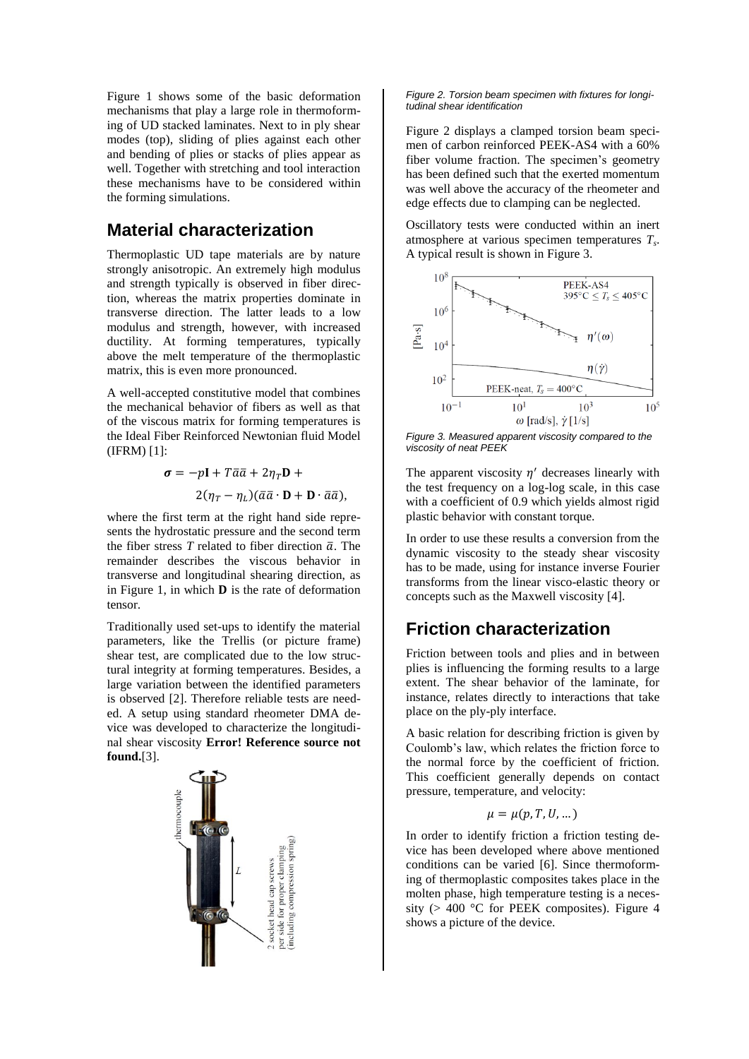[Figure 1](#page-0-0) shows some of the basic deformation mechanisms that play a large role in thermoforming of UD stacked laminates. Next to in ply shear modes (top), sliding of plies against each other and bending of plies or stacks of plies appear as well. Together with stretching and tool interaction these mechanisms have to be considered within the forming simulations.

### **Material characterization**

Thermoplastic UD tape materials are by nature strongly anisotropic. An extremely high modulus and strength typically is observed in fiber direction, whereas the matrix properties dominate in transverse direction. The latter leads to a low modulus and strength, however, with increased ductility. At forming temperatures, typically above the melt temperature of the thermoplastic matrix, this is even more pronounced.

A well-accepted constitutive model that combines the mechanical behavior of fibers as well as that of the viscous matrix for forming temperatures is the Ideal Fiber Reinforced Newtonian fluid Model (IFRM) [\[1\]](#page-3-0):

$$
\sigma = -p\mathbf{I} + T\bar{a}\bar{a} + 2\eta_T \mathbf{D} +
$$

$$
2(\eta_T - \eta_L)(\bar{a}\bar{a} \cdot \mathbf{D} + \mathbf{D} \cdot \bar{a}\bar{a}),
$$

where the first term at the right hand side represents the hydrostatic pressure and the second term the fiber stress  $T$  related to fiber direction  $\bar{a}$ . The remainder describes the viscous behavior in transverse and longitudinal shearing direction, as in [Figure 1,](#page-0-0) in which  $\bf{D}$  is the rate of deformation tensor.

Traditionally used set-ups to identify the material parameters, like the Trellis (or picture frame) shear test, are complicated due to the low structural integrity at forming temperatures. Besides, a large variation between the identified parameters is observed [\[2\]](#page-3-1). Therefore reliable tests are needed. A setup using standard rheometer DMA device was developed to characterize the longitudinal shear viscosity **Error! Reference source not found.**[\[3\]](#page-3-2).



#### <span id="page-1-0"></span>*Figure 2. Torsion beam specimen with fixtures for longitudinal shear identification*

[Figure 2](#page-1-0) displays a clamped torsion beam specimen of carbon reinforced PEEK-AS4 with a 60% fiber volume fraction. The specimen's geometry has been defined such that the exerted momentum was well above the accuracy of the rheometer and edge effects due to clamping can be neglected.

Oscillatory tests were conducted within an inert atmosphere at various specimen temperatures *T<sup>s</sup>* . A typical result is shown in [Figure 3.](#page-1-1)



<span id="page-1-1"></span>*Figure 3. Measured apparent viscosity compared to the viscosity of neat PEEK*

The apparent viscosity  $\eta'$  decreases linearly with the test frequency on a log-log scale, in this case with a coefficient of 0.9 which yields almost rigid plastic behavior with constant torque.

In order to use these results a conversion from the dynamic viscosity to the steady shear viscosity has to be made, using for instance inverse Fourier transforms from the linear visco-elastic theory or concepts such as the Maxwell viscosity [\[4\]](#page-3-3).

# **Friction characterization**

Friction between tools and plies and in between plies is influencing the forming results to a large extent. The shear behavior of the laminate, for instance, relates directly to interactions that take place on the ply-ply interface.

A basic relation for describing friction is given by Coulomb's law, which relates the friction force to the normal force by the coefficient of friction. This coefficient generally depends on contact pressure, temperature, and velocity:

$$
\mu=\mu(p,T,U,...)
$$

In order to identify friction a friction testing device has been developed where above mentioned conditions can be varied [\[6\]](#page-3-4). Since thermoforming of thermoplastic composites takes place in the molten phase, high temperature testing is a necessity ( $> 400$  °C for PEEK composites). [Figure 4](#page-2-0) shows a picture of the device.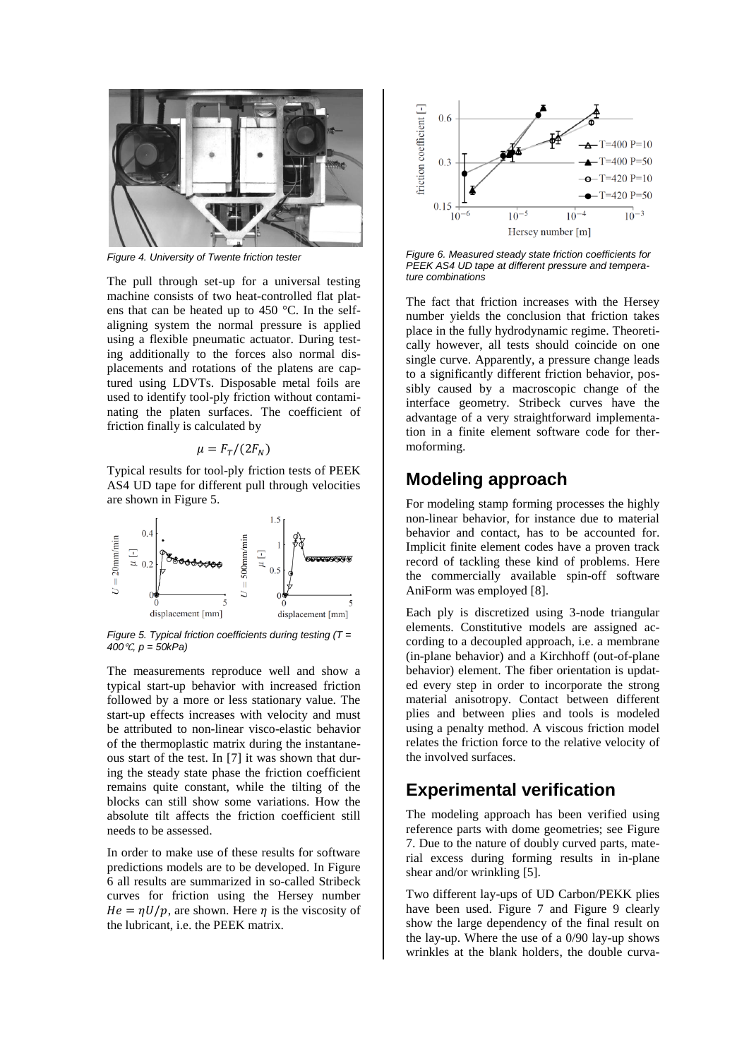

*Figure 4. University of Twente friction tester*

<span id="page-2-0"></span>The pull through set-up for a universal testing machine consists of two heat-controlled flat platens that can be heated up to 450 °C. In the selfaligning system the normal pressure is applied using a flexible pneumatic actuator. During testing additionally to the forces also normal displacements and rotations of the platens are captured using LDVTs. Disposable metal foils are used to identify tool-ply friction without contaminating the platen surfaces. The coefficient of friction finally is calculated by

#### $\mu = F_{\tau}/(2F_{N})$

Typical results for tool-ply friction tests of PEEK AS4 UD tape for different pull through velocities are shown i[n Figure 5.](#page-2-1)



<span id="page-2-1"></span>*Figure 5. Typical friction coefficients during testing (T = 400*℃*, p = 50kPa)*

The measurements reproduce well and show a typical start-up behavior with increased friction followed by a more or less stationary value. The start-up effects increases with velocity and must be attributed to non-linear visco-elastic behavior of the thermoplastic matrix during the instantaneous start of the test. In [\[7\]](#page-3-5) it was shown that during the steady state phase the friction coefficient remains quite constant, while the tilting of the blocks can still show some variations. How the absolute tilt affects the friction coefficient still needs to be assessed.

In order to make use of these results for software predictions models are to be developed. In [Figure](#page-2-2)  [6](#page-2-2) all results are summarized in so-called Stribeck curves for friction using the Hersey number  $He = \frac{\eta U}{p}$ , are shown. Here  $\eta$  is the viscosity of the lubricant, i.e. the PEEK matrix.



<span id="page-2-2"></span>*Figure 6. Measured steady state friction coefficients for PEEK AS4 UD tape at different pressure and temperature combinations*

The fact that friction increases with the Hersey number yields the conclusion that friction takes place in the fully hydrodynamic regime. Theoretically however, all tests should coincide on one single curve. Apparently, a pressure change leads to a significantly different friction behavior, possibly caused by a macroscopic change of the interface geometry. Stribeck curves have the advantage of a very straightforward implementation in a finite element software code for thermoforming.

### **Modeling approach**

For modeling stamp forming processes the highly non-linear behavior, for instance due to material behavior and contact, has to be accounted for. Implicit finite element codes have a proven track record of tackling these kind of problems. Here the commercially available spin-off software AniForm was employed [\[8\]](#page-3-6).

Each ply is discretized using 3-node triangular elements. Constitutive models are assigned according to a decoupled approach, i.e. a membrane (in-plane behavior) and a Kirchhoff (out-of-plane behavior) element. The fiber orientation is updated every step in order to incorporate the strong material anisotropy. Contact between different plies and between plies and tools is modeled using a penalty method. A viscous friction model relates the friction force to the relative velocity of the involved surfaces.

#### **Experimental verification**

The modeling approach has been verified using reference parts with dome geometries; see [Figure](#page-3-7)  [7.](#page-3-7) Due to the nature of doubly curved parts, material excess during forming results in in-plane shear and/or wrinkling [\[5\]](#page-3-8).

Two different lay-ups of UD Carbon/PEKK plies have been used. [Figure 7](#page-3-7) and [Figure 9](#page-3-9) clearly show the large dependency of the final result on the lay-up. Where the use of a 0/90 lay-up shows wrinkles at the blank holders, the double curva-